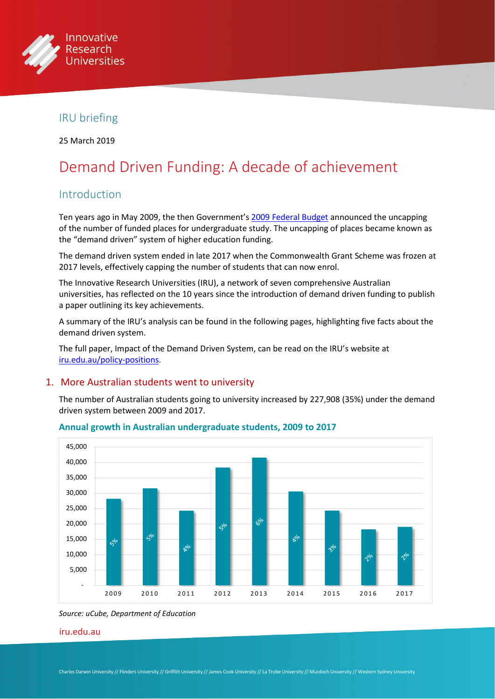

# IRU briefing

25 March 2019

# Demand Driven Funding: A decade of achievement

# Introduction

Ten years ago in May 2009, the then Government's [2009 Federal Budget](https://web.archive.org/web/20090521024018/https:/www.budget.gov.au/2009-10/content/speech/html/speech.htm) announced the uncapping of the number of funded places for undergraduate study. The uncapping of places became known as the "demand driven" system of higher education funding.

The demand driven system ended in late 2017 when the Commonwealth Grant Scheme was frozen at 2017 levels, effectively capping the number of students that can now enrol.

The Innovative Research Universities (IRU), a network of seven comprehensive Australian universities, has reflected on the 10 years since the introduction of demand driven funding to publish a paper outlining its key achievements.

A summary of the IRU's analysis can be found in the following pages, highlighting five facts about the demand driven system.

The full paper, Impact of the Demand Driven System, can be read on the IRU's website at [iru.edu.au/policy-positions.](http://www.iru.edu.au/policy/policy-positions/)

#### 1. More Australian students went to university

The number of Australian students going to university increased by 227,908 (35%) under the demand driven system between 2009 and 2017.



#### **Annual growth in Australian undergraduate students, 2009 to 2017**

*Source: uCube, Department of Education*

#### [iru.edu.au](http://iru.edu.au)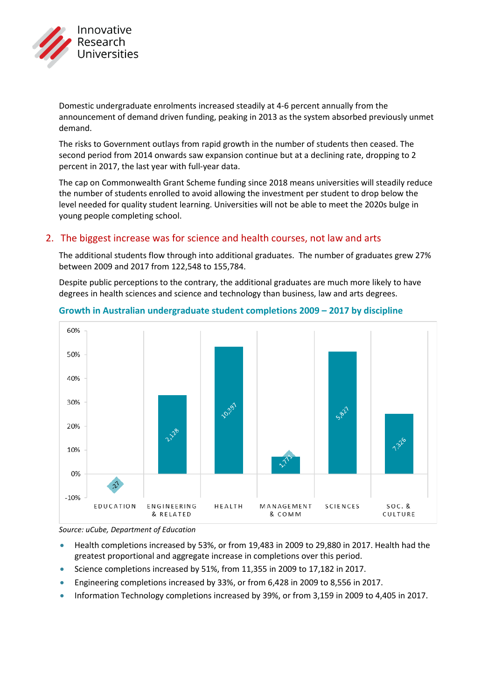

Domestic undergraduate enrolments increased steadily at 4-6 percent annually from the announcement of demand driven funding, peaking in 2013 as the system absorbed previously unmet demand.

The risks to Government outlays from rapid growth in the number of students then ceased. The second period from 2014 onwards saw expansion continue but at a declining rate, dropping to 2 percent in 2017, the last year with full-year data.

The cap on Commonwealth Grant Scheme funding since 2018 means universities will steadily reduce the number of students enrolled to avoid allowing the investment per student to drop below the level needed for quality student learning. Universities will not be able to meet the 2020s bulge in young people completing school.

## 2. The biggest increase was for science and health courses, not law and arts

The additional students flow through into additional graduates. The number of graduates grew 27% between 2009 and 2017 from 122,548 to 155,784.

Despite public perceptions to the contrary, the additional graduates are much more likely to have degrees in health sciences and science and technology than business, law and arts degrees.



#### **Growth in Australian undergraduate student completions 2009 – 2017 by discipline**

*Source: uCube, Department of Education*

- Health completions increased by 53%, or from 19,483 in 2009 to 29,880 in 2017. Health had the greatest proportional and aggregate increase in completions over this period.
- Science completions increased by 51%, from 11,355 in 2009 to 17,182 in 2017.
- Engineering completions increased by 33%, or from 6,428 in 2009 to 8,556 in 2017.
- Information Technology completions increased by 39%, or from 3,159 in 2009 to 4,405 in 2017.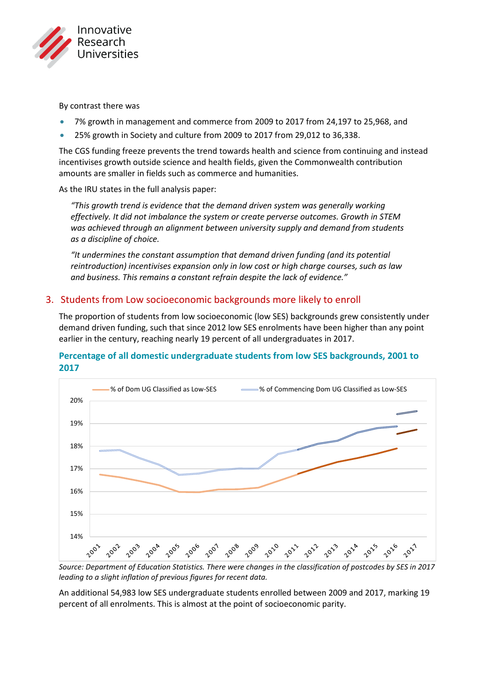

By contrast there was

- 7% growth in management and commerce from 2009 to 2017 from 24,197 to 25,968, and
- 25% growth in Society and culture from 2009 to 2017 from 29,012 to 36,338.

The CGS funding freeze prevents the trend towards health and science from continuing and instead incentivises growth outside science and health fields, given the Commonwealth contribution amounts are smaller in fields such as commerce and humanities.

As the IRU states in the full analysis paper:

*"This growth trend is evidence that the demand driven system was generally working effectively. It did not imbalance the system or create perverse outcomes. Growth in STEM*  was achieved through an alignment between university supply and demand from students *as a discipline of choice.*

*"It undermines the constant assumption that demand driven funding (and its potential reintroduction) incentivises expansion only in low cost or high charge courses, such as law and business. This remains a constant refrain despite the lack of evidence."*

## 3. Students from Low socioeconomic backgrounds more likely to enroll

The proportion of students from low socioeconomic (low SES) backgrounds grew consistently under demand driven funding, such that since 2012 low SES enrolments have been higher than any point earlier in the century, reaching nearly 19 percent of all undergraduates in 2017.

## **Percentage of all domestic undergraduate students from low SES backgrounds, 2001 to 2017**



*Source: Department of Education Statistics. There were changes in the classification of postcodes by SES in 2017 leading to a slight inflation of previous figures for recent data.*

An additional 54,983 low SES undergraduate students enrolled between 2009 and 2017, marking 19 percent of all enrolments. This is almost at the point of socioeconomic parity.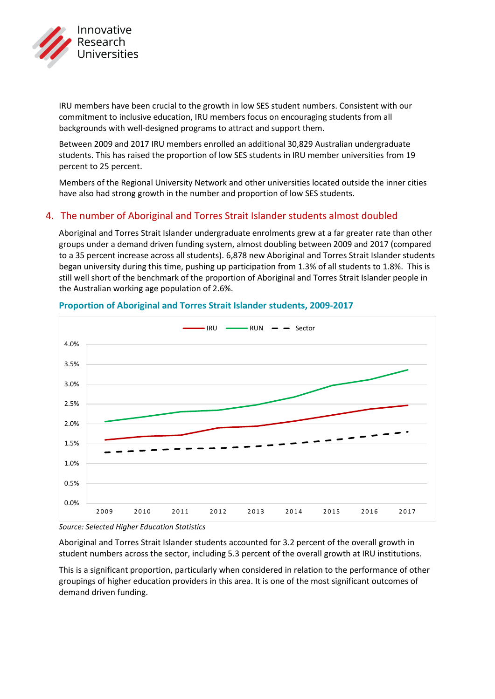

IRU members have been crucial to the growth in low SES student numbers. Consistent with our commitment to inclusive education, IRU members focus on encouraging students from all backgrounds with well-designed programs to attract and support them.

Between 2009 and 2017 IRU members enrolled an additional 30,829 Australian undergraduate students. This has raised the proportion of low SES students in IRU member universities from 19 percent to 25 percent.

Members of the Regional University Network and other universities located outside the inner cities have also had strong growth in the number and proportion of low SES students.

## 4. The number of Aboriginal and Torres Strait Islander students almost doubled

Aboriginal and Torres Strait Islander undergraduate enrolments grew at a far greater rate than other groups under a demand driven funding system, almost doubling between 2009 and 2017 (compared to a 35 percent increase across all students). 6,878 new Aboriginal and Torres Strait Islander students began university during this time, pushing up participation from 1.3% of all students to 1.8%. This is still well short of the benchmark of the proportion of Aboriginal and Torres Strait Islander people in the Australian working age population of 2.6%.



## **Proportion of Aboriginal and Torres Strait Islander students, 2009-2017**

*Source: Selected Higher Education Statistics*

Aboriginal and Torres Strait Islander students accounted for 3.2 percent of the overall growth in student numbers across the sector, including 5.3 percent of the overall growth at IRU institutions.

This is a significant proportion, particularly when considered in relation to the performance of other groupings of higher education providers in this area. It is one of the most significant outcomes of demand driven funding.